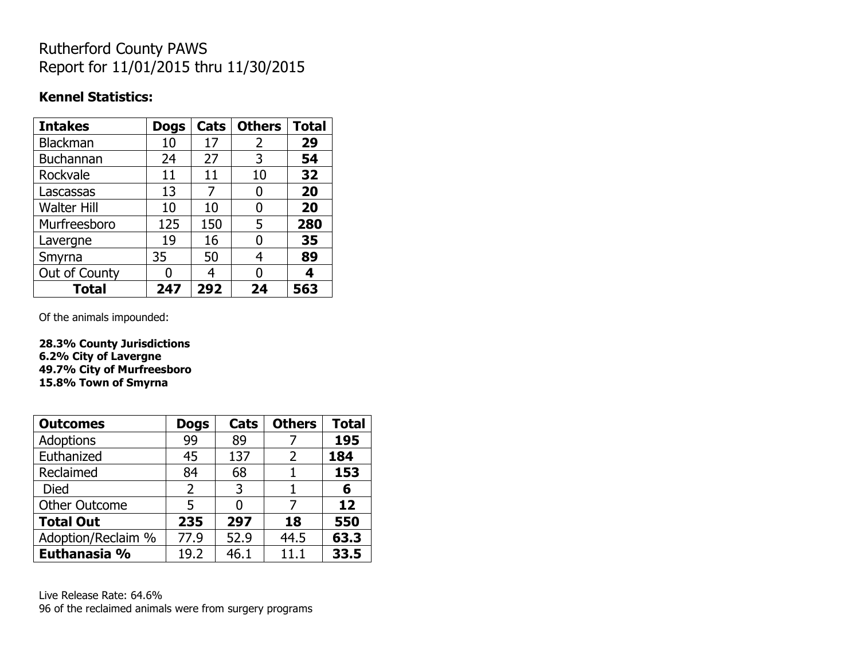# Rutherford County PAWS Report for 11/01/2015 thru 11/30/2015

#### **Kennel Statistics:**

| <b>Intakes</b>     | <b>Dogs</b> | Cats | <b>Others</b> | <b>Total</b> |
|--------------------|-------------|------|---------------|--------------|
| <b>Blackman</b>    | 10          | 17   | 2             | 29           |
| <b>Buchannan</b>   | 24          | 27   | 3             | 54           |
| Rockvale           | 11          | 11   | 10            | 32           |
| Lascassas          | 13          | 7    | 0             | 20           |
| <b>Walter Hill</b> | 10          | 10   | 0             | 20           |
| Murfreesboro       | 125         | 150  | 5             | 280          |
| Lavergne           | 19          | 16   | 0             | 35           |
| Smyrna             | 35          | 50   | 4             | 89           |
| Out of County      |             | 4    | 0             | 4            |
| <b>Total</b>       | 247         | 292  | 24            | 563          |

Of the animals impounded:

**28.3% County Jurisdictions 6.2% City of Lavergne 49.7% City of Murfreesboro 15.8% Town of Smyrna**

| <b>Outcomes</b>      | <b>Dogs</b>    | Cats | <b>Others</b> | <b>Total</b> |
|----------------------|----------------|------|---------------|--------------|
| Adoptions            | 99             | 89   |               | 195          |
| Euthanized           | 45             | 137  | 2             | 184          |
| Reclaimed            | 84             | 68   |               | 153          |
| <b>Died</b>          | $\overline{2}$ | 3    |               | 6            |
| <b>Other Outcome</b> | 5              |      |               | 12           |
| <b>Total Out</b>     | 235            | 297  | 18            | 550          |
| Adoption/Reclaim %   | 77.9           | 52.9 | 44.5          | 63.3         |
| Euthanasia %         | 19.2           | 46.1 | 11.1          | 33.5         |

Live Release Rate: 64.6% 96 of the reclaimed animals were from surgery programs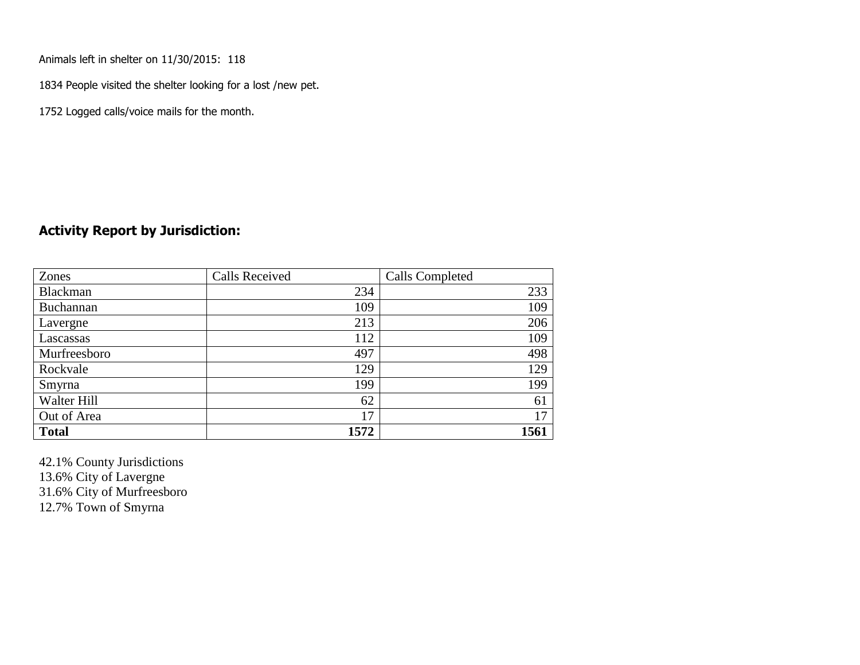Animals left in shelter on 11/30/2015: 118

1834 People visited the shelter looking for a lost /new pet.

1752 Logged calls/voice mails for the month.

#### **Activity Report by Jurisdiction:**

| Zones           | <b>Calls Received</b> | Calls Completed |
|-----------------|-----------------------|-----------------|
| <b>Blackman</b> | 234                   | 233             |
| Buchannan       | 109                   | 109             |
| Lavergne        | 213                   | 206             |
| Lascassas       | 112                   | 109             |
| Murfreesboro    | 497                   | 498             |
| Rockvale        | 129                   | 129             |
| Smyrna          | 199                   | 199             |
| Walter Hill     | 62                    | 61              |
| Out of Area     | 17                    | 17              |
| <b>Total</b>    | 1572                  | 1561            |

42.1% County Jurisdictions 13.6% City of Lavergne 31.6% City of Murfreesboro 12.7% Town of Smyrna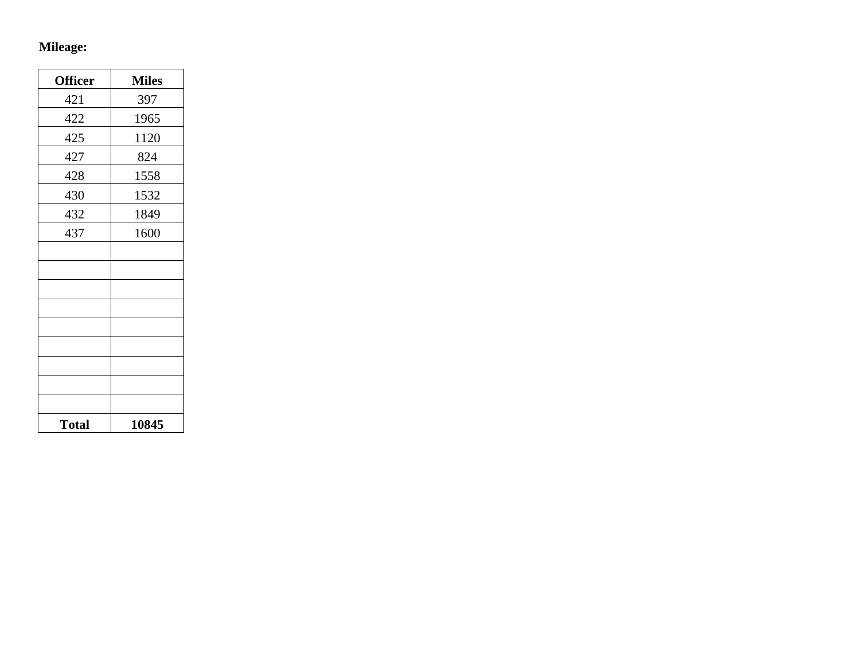# **Mileage:**

| <b>Officer</b> | <b>Miles</b> |
|----------------|--------------|
| 421            | 397          |
| 422            | 1965         |
| 425            | 1120         |
| 427            | 824          |
| 428            | 1558         |
| 430            | 1532         |
| 432            | 1849         |
| 437            | 1600         |
|                |              |
|                |              |
|                |              |
|                |              |
|                |              |
|                |              |
|                |              |
|                |              |
|                |              |
| <b>Total</b>   | 10845        |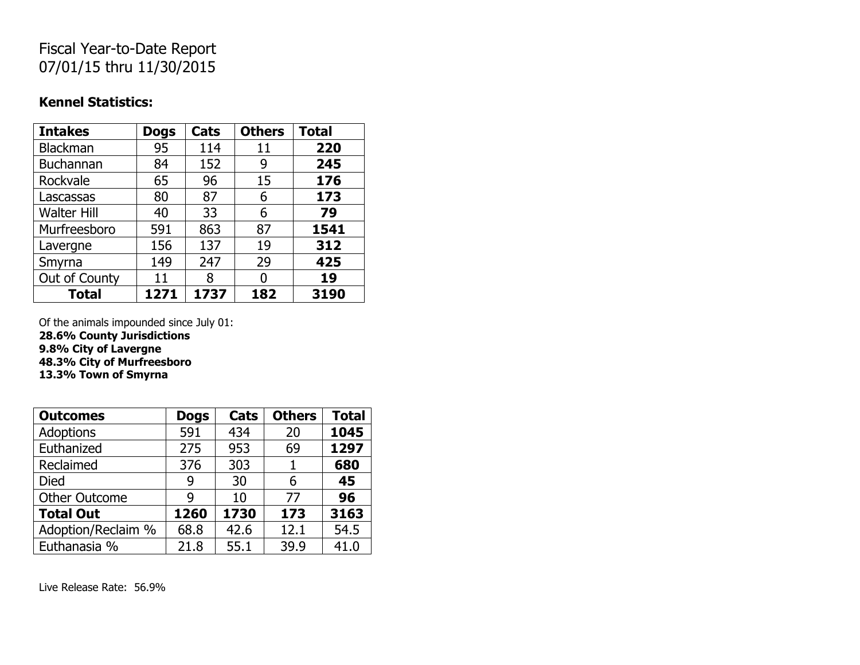## Fiscal Year-to-Date Report 07/01/15 thru 11/30/2015

#### **Kennel Statistics:**

| <b>Intakes</b>     | <b>Dogs</b> | Cats | <b>Others</b> | <b>Total</b> |
|--------------------|-------------|------|---------------|--------------|
| <b>Blackman</b>    | 95          | 114  | 11            | 220          |
| <b>Buchannan</b>   | 84          | 152  | 9             | 245          |
| Rockvale           | 65          | 96   | 15            | 176          |
| Lascassas          | 80          | 87   | 6             | 173          |
| <b>Walter Hill</b> | 40          | 33   | 6             | 79           |
| Murfreesboro       | 591         | 863  | 87            | 1541         |
| Lavergne           | 156         | 137  | 19            | 312          |
| Smyrna             | 149         | 247  | 29            | 425          |
| Out of County      | 11          | 8    | O             | 19           |
| <b>Total</b>       | 1271        | 1737 | 182           | 3190         |

Of the animals impounded since July 01: **28.6% County Jurisdictions 9.8% City of Lavergne 48.3% City of Murfreesboro 13.3% Town of Smyrna**

| <b>Outcomes</b>      | <b>Dogs</b> | Cats | <b>Others</b> | <b>Total</b> |
|----------------------|-------------|------|---------------|--------------|
| <b>Adoptions</b>     | 591         | 434  | 20            | 1045         |
| Euthanized           | 275         | 953  | 69            | 1297         |
| Reclaimed            | 376         | 303  | 1             | 680          |
| <b>Died</b>          | 9           | 30   | 6             | 45           |
| <b>Other Outcome</b> | 9           | 10   | 77            | 96           |
| <b>Total Out</b>     | 1260        | 1730 | 173           | 3163         |
| Adoption/Reclaim %   | 68.8        | 42.6 | 12.1          | 54.5         |
| Euthanasia %         | 21.8        | 55.1 | 39.9          | 41.0         |

Live Release Rate: 56.9%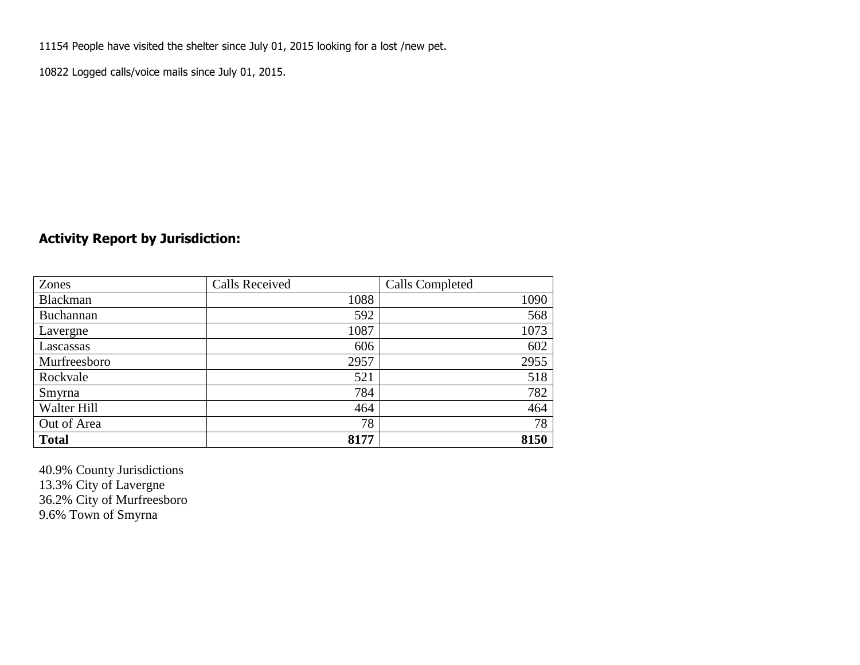11154 People have visited the shelter since July 01, 2015 looking for a lost /new pet.

10822 Logged calls/voice mails since July 01, 2015.

### **Activity Report by Jurisdiction:**

| Zones           | <b>Calls Received</b> | Calls Completed |
|-----------------|-----------------------|-----------------|
| <b>Blackman</b> | 1088                  | 1090            |
| Buchannan       | 592                   | 568             |
| Lavergne        | 1087                  | 1073            |
| Lascassas       | 606                   | 602             |
| Murfreesboro    | 2957                  | 2955            |
| Rockvale        | 521                   | 518             |
| Smyrna          | 784                   | 782             |
| Walter Hill     | 464                   | 464             |
| Out of Area     | 78                    | 78              |
| <b>Total</b>    | 8177                  | 8150            |

40.9% County Jurisdictions 13.3% City of Lavergne 36.2% City of Murfreesboro 9.6% Town of Smyrna